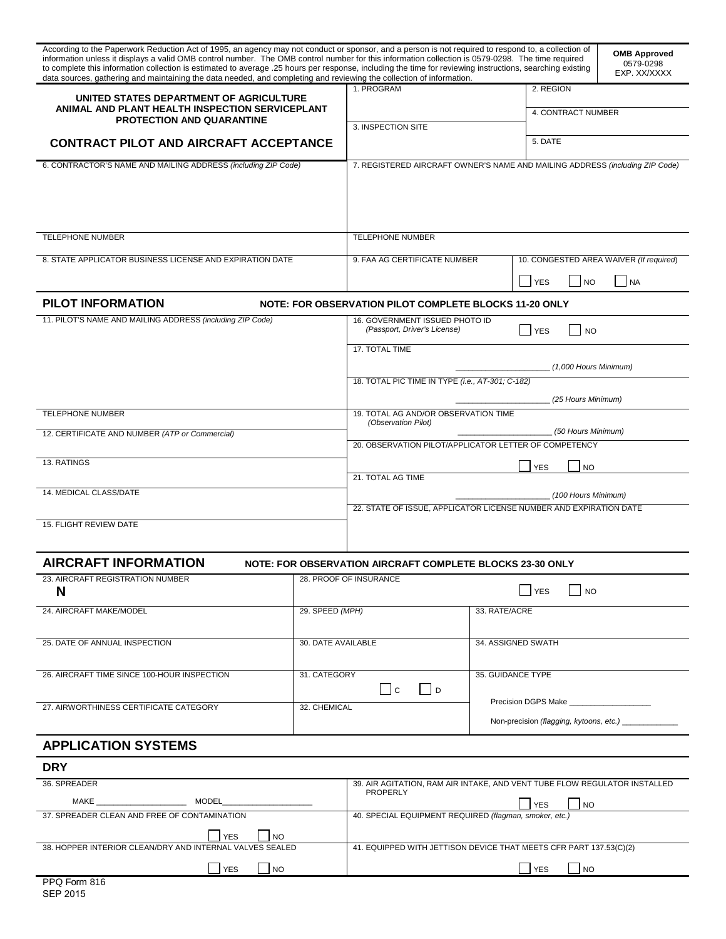| According to the Paperwork Reduction Act of 1995, an agency may not conduct or sponsor, and a person is not required to respond to, a collection of<br>information unless it displays a valid OMB control number. The OMB control number for this information collection is 0579-0298. The time required<br>to complete this information collection is estimated to average .25 hours per response, including the time for reviewing instructions, searching existing<br>data sources, gathering and maintaining the data needed, and completing and reviewing the collection of information. |                                                                                              |                                                                                                     |                                           |                                                   | <b>OMB Approved</b><br>0579-0298<br>EXP. XX/XXXX |  |
|-----------------------------------------------------------------------------------------------------------------------------------------------------------------------------------------------------------------------------------------------------------------------------------------------------------------------------------------------------------------------------------------------------------------------------------------------------------------------------------------------------------------------------------------------------------------------------------------------|----------------------------------------------------------------------------------------------|-----------------------------------------------------------------------------------------------------|-------------------------------------------|---------------------------------------------------|--------------------------------------------------|--|
| UNITED STATES DEPARTMENT OF AGRICULTURE<br>ANIMAL AND PLANT HEALTH INSPECTION SERVICEPLANT<br><b>PROTECTION AND QUARANTINE</b><br><b>CONTRACT PILOT AND AIRCRAFT ACCEPTANCE</b>                                                                                                                                                                                                                                                                                                                                                                                                               |                                                                                              | 1. PROGRAM                                                                                          |                                           | 2. REGION<br>4. CONTRACT NUMBER                   |                                                  |  |
|                                                                                                                                                                                                                                                                                                                                                                                                                                                                                                                                                                                               |                                                                                              | 3. INSPECTION SITE                                                                                  |                                           | 5. DATE                                           |                                                  |  |
| 6. CONTRACTOR'S NAME AND MAILING ADDRESS (including ZIP Code)                                                                                                                                                                                                                                                                                                                                                                                                                                                                                                                                 |                                                                                              | 7. REGISTERED AIRCRAFT OWNER'S NAME AND MAILING ADDRESS (including ZIP Code)                        |                                           |                                                   |                                                  |  |
| <b>TELEPHONE NUMBER</b>                                                                                                                                                                                                                                                                                                                                                                                                                                                                                                                                                                       |                                                                                              | <b>TELEPHONE NUMBER</b>                                                                             |                                           |                                                   |                                                  |  |
| 8. STATE APPLICATOR BUSINESS LICENSE AND EXPIRATION DATE                                                                                                                                                                                                                                                                                                                                                                                                                                                                                                                                      |                                                                                              | 10. CONGESTED AREA WAIVER (If required)<br>9. FAA AG CERTIFICATE NUMBER<br><b>YES</b><br>NA<br>I NO |                                           |                                                   |                                                  |  |
| <b>PILOT INFORMATION</b>                                                                                                                                                                                                                                                                                                                                                                                                                                                                                                                                                                      |                                                                                              | NOTE: FOR OBSERVATION PILOT COMPLETE BLOCKS 11-20 ONLY                                              |                                           |                                                   |                                                  |  |
| 11. PILOT'S NAME AND MAILING ADDRESS (including ZIP Code)                                                                                                                                                                                                                                                                                                                                                                                                                                                                                                                                     |                                                                                              | 16. GOVERNMENT ISSUED PHOTO ID<br>(Passport, Driver's License)<br>Service S<br><b>NO</b>            |                                           |                                                   |                                                  |  |
|                                                                                                                                                                                                                                                                                                                                                                                                                                                                                                                                                                                               |                                                                                              | 17. TOTAL TIME                                                                                      |                                           |                                                   |                                                  |  |
|                                                                                                                                                                                                                                                                                                                                                                                                                                                                                                                                                                                               |                                                                                              | (1,000 Hours Minimum)<br>18. TOTAL PIC TIME IN TYPE (i.e., AT-301; C-182)                           |                                           |                                                   |                                                  |  |
|                                                                                                                                                                                                                                                                                                                                                                                                                                                                                                                                                                                               |                                                                                              | (25 Hours Minimum)                                                                                  |                                           |                                                   |                                                  |  |
| <b>TELEPHONE NUMBER</b>                                                                                                                                                                                                                                                                                                                                                                                                                                                                                                                                                                       |                                                                                              | 19. TOTAL AG AND/OR OBSERVATION TIME<br>(Observation Pilot)                                         |                                           |                                                   |                                                  |  |
| 12. CERTIFICATE AND NUMBER (ATP or Commercial)                                                                                                                                                                                                                                                                                                                                                                                                                                                                                                                                                |                                                                                              | (50 Hours Minimum)<br>20. OBSERVATION PILOT/APPLICATOR LETTER OF COMPETENCY                         |                                           |                                                   |                                                  |  |
| 13. RATINGS                                                                                                                                                                                                                                                                                                                                                                                                                                                                                                                                                                                   |                                                                                              |                                                                                                     |                                           | <b>NO</b><br><b>YES</b>                           |                                                  |  |
|                                                                                                                                                                                                                                                                                                                                                                                                                                                                                                                                                                                               |                                                                                              | 21. TOTAL AG TIME                                                                                   |                                           |                                                   |                                                  |  |
| 14. MEDICAL CLASS/DATE                                                                                                                                                                                                                                                                                                                                                                                                                                                                                                                                                                        |                                                                                              | (100 Hours Minimum)<br>22. STATE OF ISSUE, APPLICATOR LICENSE NUMBER AND EXPIRATION DATE            |                                           |                                                   |                                                  |  |
| 15. FLIGHT REVIEW DATE                                                                                                                                                                                                                                                                                                                                                                                                                                                                                                                                                                        |                                                                                              |                                                                                                     |                                           |                                                   |                                                  |  |
| <b>AIRCRAFT INFORMATION</b>                                                                                                                                                                                                                                                                                                                                                                                                                                                                                                                                                                   |                                                                                              | NOTE: FOR OBSERVATION AIRCRAFT COMPLETE BLOCKS 23-30 ONLY                                           |                                           |                                                   |                                                  |  |
| 23. AIRCRAFT REGISTRATION NUMBER<br>N                                                                                                                                                                                                                                                                                                                                                                                                                                                                                                                                                         |                                                                                              | 28. PROOF OF INSURANCE<br><b>YES</b><br><b>NO</b>                                                   |                                           |                                                   |                                                  |  |
| 24. AIRCRAFT MAKE/MODEL                                                                                                                                                                                                                                                                                                                                                                                                                                                                                                                                                                       | 29. SPEED (MPH)                                                                              | 33. RATE/ACRE                                                                                       |                                           |                                                   |                                                  |  |
| 25. DATE OF ANNUAL INSPECTION                                                                                                                                                                                                                                                                                                                                                                                                                                                                                                                                                                 |                                                                                              | 30. DATE AVAILABLE                                                                                  |                                           | 34. ASSIGNED SWATH                                |                                                  |  |
| 26. AIRCRAFT TIME SINCE 100-HOUR INSPECTION                                                                                                                                                                                                                                                                                                                                                                                                                                                                                                                                                   | 31. CATEGORY                                                                                 | l Ic<br> D                                                                                          | 35. GUIDANCE TYPE                         |                                                   |                                                  |  |
| 27. AIRWORTHINESS CERTIFICATE CATEGORY                                                                                                                                                                                                                                                                                                                                                                                                                                                                                                                                                        | 32. CHEMICAL                                                                                 |                                                                                                     |                                           | Non-precision (flagging, kytoons, etc.) _________ |                                                  |  |
| <b>APPLICATION SYSTEMS</b>                                                                                                                                                                                                                                                                                                                                                                                                                                                                                                                                                                    |                                                                                              |                                                                                                     |                                           |                                                   |                                                  |  |
| <b>DRY</b>                                                                                                                                                                                                                                                                                                                                                                                                                                                                                                                                                                                    |                                                                                              |                                                                                                     |                                           |                                                   |                                                  |  |
| 36. SPREADER                                                                                                                                                                                                                                                                                                                                                                                                                                                                                                                                                                                  | 39. AIR AGITATION, RAM AIR INTAKE, AND VENT TUBE FLOW REGULATOR INSTALLED<br><b>PROPERLY</b> |                                                                                                     |                                           |                                                   |                                                  |  |
|                                                                                                                                                                                                                                                                                                                                                                                                                                                                                                                                                                                               |                                                                                              | <b>YES</b><br> NO                                                                                   |                                           |                                                   |                                                  |  |
| 37. SPREADER CLEAN AND FREE OF CONTAMINATION                                                                                                                                                                                                                                                                                                                                                                                                                                                                                                                                                  |                                                                                              | 40. SPECIAL EQUIPMENT REQUIRED (flagman, smoker, etc.)                                              |                                           |                                                   |                                                  |  |
| <b>YES</b><br><b>NO</b><br>38. HOPPER INTERIOR CLEAN/DRY AND INTERNAL VALVES SEALED                                                                                                                                                                                                                                                                                                                                                                                                                                                                                                           |                                                                                              | 41. EQUIPPED WITH JETTISON DEVICE THAT MEETS CFR PART 137.53(C)(2)                                  |                                           |                                                   |                                                  |  |
| <b>YES</b><br><b>NO</b>                                                                                                                                                                                                                                                                                                                                                                                                                                                                                                                                                                       |                                                                                              |                                                                                                     | <b>YES</b><br>$\overline{\phantom{a}}$ NO |                                                   |                                                  |  |
| PPO Form 816                                                                                                                                                                                                                                                                                                                                                                                                                                                                                                                                                                                  |                                                                                              |                                                                                                     |                                           |                                                   |                                                  |  |